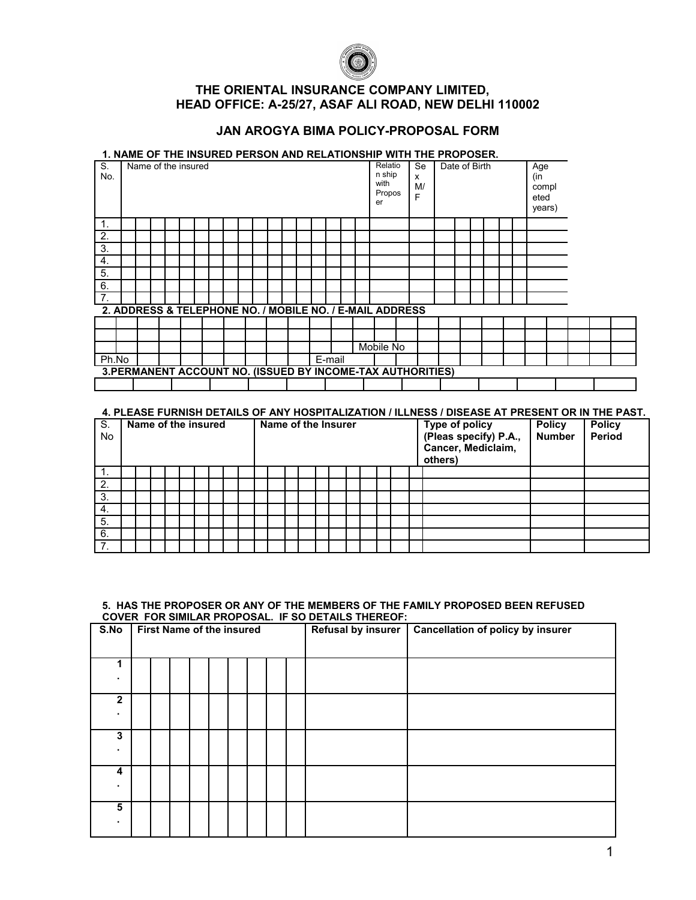

# **THE ORIENTAL INSURANCE COMPANY LIMITED, HEAD OFFICE: A-25/27, ASAF ALI ROAD, NEW DELHI 110002**

## **JAN AROGYA BIMA POLICY-PROPOSAL FORM**

### **1. NAME OF THE INSURED PERSON AND RELATIONSHIP WITH THE PROPOSER.**

| S.<br>No. | Name of the insured |  |  |  |  |  |  |        |  | Relatio<br>n ship<br>with<br>Propos<br>er                   | <b>Se</b><br>x<br>M/<br>F | Date of Birth |  |  | Age<br>(in<br>compl<br>eted<br>years) |  |  |  |
|-----------|---------------------|--|--|--|--|--|--|--------|--|-------------------------------------------------------------|---------------------------|---------------|--|--|---------------------------------------|--|--|--|
| 1.        |                     |  |  |  |  |  |  |        |  |                                                             |                           |               |  |  |                                       |  |  |  |
| 2.        |                     |  |  |  |  |  |  |        |  |                                                             |                           |               |  |  |                                       |  |  |  |
| 3.        |                     |  |  |  |  |  |  |        |  |                                                             |                           |               |  |  |                                       |  |  |  |
| 4.        |                     |  |  |  |  |  |  |        |  |                                                             |                           |               |  |  |                                       |  |  |  |
| 5.        |                     |  |  |  |  |  |  |        |  |                                                             |                           |               |  |  |                                       |  |  |  |
| 6.        |                     |  |  |  |  |  |  |        |  |                                                             |                           |               |  |  |                                       |  |  |  |
| 7.        |                     |  |  |  |  |  |  |        |  |                                                             |                           |               |  |  |                                       |  |  |  |
|           |                     |  |  |  |  |  |  |        |  | 2. ADDRESS & TELEPHONE NO. / MOBILE NO. / E-MAIL ADDRESS    |                           |               |  |  |                                       |  |  |  |
|           |                     |  |  |  |  |  |  |        |  |                                                             |                           |               |  |  |                                       |  |  |  |
|           |                     |  |  |  |  |  |  |        |  |                                                             |                           |               |  |  |                                       |  |  |  |
|           |                     |  |  |  |  |  |  |        |  | Mobile No                                                   |                           |               |  |  |                                       |  |  |  |
| Ph.No     |                     |  |  |  |  |  |  | E-mail |  |                                                             |                           |               |  |  |                                       |  |  |  |
|           |                     |  |  |  |  |  |  |        |  | 3. PERMANENT ACCOUNT NO. (ISSUED BY INCOME-TAX AUTHORITIES) |                           |               |  |  |                                       |  |  |  |
|           |                     |  |  |  |  |  |  |        |  |                                                             |                           |               |  |  |                                       |  |  |  |

### **4. PLEASE FURNISH DETAILS OF ANY HOSPITALIZATION / ILLNESS / DISEASE AT PRESENT OR IN THE PAST.**

| S.<br>No | Name of the insured |  |  |  |  |  |  |  | Name of the Insurer |  |  |  |  |  |  |  |  |  | Type of policy<br>(Pleas specify) P.A.,<br>Cancer, Mediclaim,<br>others) | <b>Policy</b><br><b>Number</b> | <b>Policy</b><br>Period |  |
|----------|---------------------|--|--|--|--|--|--|--|---------------------|--|--|--|--|--|--|--|--|--|--------------------------------------------------------------------------|--------------------------------|-------------------------|--|
| . .      |                     |  |  |  |  |  |  |  |                     |  |  |  |  |  |  |  |  |  |                                                                          |                                |                         |  |
| 2.       |                     |  |  |  |  |  |  |  |                     |  |  |  |  |  |  |  |  |  |                                                                          |                                |                         |  |
| 3.       |                     |  |  |  |  |  |  |  |                     |  |  |  |  |  |  |  |  |  |                                                                          |                                |                         |  |
| 4.       |                     |  |  |  |  |  |  |  |                     |  |  |  |  |  |  |  |  |  |                                                                          |                                |                         |  |
| 5.       |                     |  |  |  |  |  |  |  |                     |  |  |  |  |  |  |  |  |  |                                                                          |                                |                         |  |
| 6.       |                     |  |  |  |  |  |  |  |                     |  |  |  |  |  |  |  |  |  |                                                                          |                                |                         |  |
| ⇁        |                     |  |  |  |  |  |  |  |                     |  |  |  |  |  |  |  |  |  |                                                                          |                                |                         |  |

#### **5. HAS THE PROPOSER OR ANY OF THE MEMBERS OF THE FAMILY PROPOSED BEEN REFUSED COVER FOR SIMILAR PROPOSAL. IF SO DETAILS THEREOF:**

| S.No         | <b>First Name of the insured</b> |  |  |  |  |  |  |  |  | Refusal by insurer | <b>Cancellation of policy by insurer</b> |
|--------------|----------------------------------|--|--|--|--|--|--|--|--|--------------------|------------------------------------------|
|              |                                  |  |  |  |  |  |  |  |  |                    |                                          |
|              |                                  |  |  |  |  |  |  |  |  |                    |                                          |
|              |                                  |  |  |  |  |  |  |  |  |                    |                                          |
| $\mathbf{2}$ |                                  |  |  |  |  |  |  |  |  |                    |                                          |
| ٠            |                                  |  |  |  |  |  |  |  |  |                    |                                          |
| 3            |                                  |  |  |  |  |  |  |  |  |                    |                                          |
| ٠.           |                                  |  |  |  |  |  |  |  |  |                    |                                          |
| 4            |                                  |  |  |  |  |  |  |  |  |                    |                                          |
| ٠            |                                  |  |  |  |  |  |  |  |  |                    |                                          |
| 5            |                                  |  |  |  |  |  |  |  |  |                    |                                          |
|              |                                  |  |  |  |  |  |  |  |  |                    |                                          |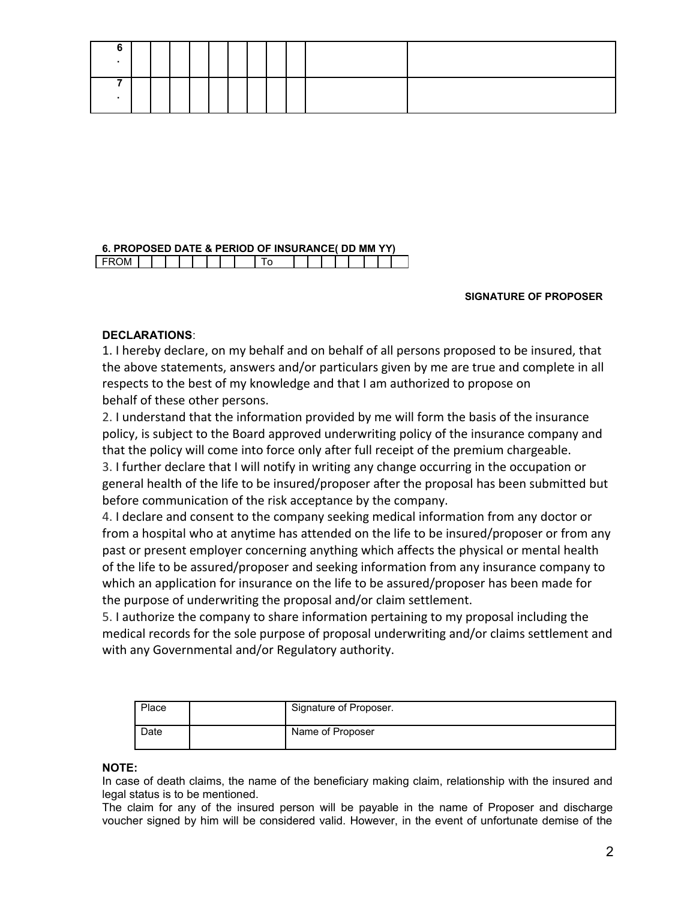#### **6. PROPOSED DATE & PERIOD OF INSURANCE( DD MM YY)** FROM TO THE TO

### **SIGNATURE OF PROPOSER**

## **DECLARATIONS**:

1. I hereby declare, on my behalf and on behalf of all persons proposed to be insured, that the above statements, answers and/or particulars given by me are true and complete in all respects to the best of my knowledge and that I am authorized to propose on behalf of these other persons.

2. I understand that the information provided by me will form the basis of the insurance policy, is subject to the Board approved underwriting policy of the insurance company and that the policy will come into force only after full receipt of the premium chargeable. 3. I further declare that I will notify in writing any change occurring in the occupation or general health of the life to be insured/proposer after the proposal has been submitted but before communication of the risk acceptance by the company.

4. I declare and consent to the company seeking medical information from any doctor or from a hospital who at anytime has attended on the life to be insured/proposer or from any past or present employer concerning anything which affects the physical or mental health of the life to be assured/proposer and seeking information from any insurance company to which an application for insurance on the life to be assured/proposer has been made for the purpose of underwriting the proposal and/or claim settlement.

5. I authorize the company to share information pertaining to my proposal including the medical records for the sole purpose of proposal underwriting and/or claims settlement and with any Governmental and/or Regulatory authority.

| Place | Signature of Proposer. |
|-------|------------------------|
| Date  | Name of Proposer       |

### **NOTE:**

In case of death claims, the name of the beneficiary making claim, relationship with the insured and legal status is to be mentioned.

The claim for any of the insured person will be payable in the name of Proposer and discharge voucher signed by him will be considered valid. However, in the event of unfortunate demise of the